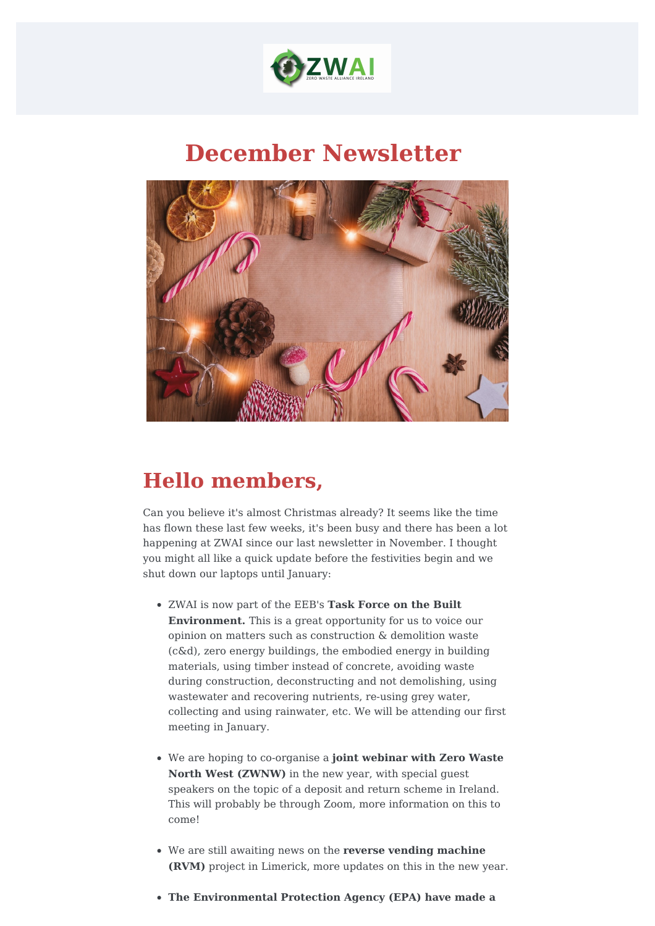

## **December Newsletter**



## **Hello members,**

Can you believe it's almost Christmas already? It seems like the time has flown these last few weeks, it's been busy and there has been a lot happening at ZWAI since our last newsletter in November. I thought you might all like a quick update before the festivities begin and we shut down our laptops until January:

- ZWAI is now part of the EEB's **Task Force on the Built Environment.** This is a great opportunity for us to voice our opinion on matters such as construction & demolition waste (c&d), zero energy buildings, the embodied energy in building materials, using timber instead of concrete, avoiding waste during construction, deconstructing and not demolishing, using wastewater and recovering nutrients, re-using grey water, collecting and using rainwater, etc. We will be attending our first meeting in January.
- We are hoping to co-organise a **joint webinar with Zero Waste North West (ZWNW)** in the new year, with special guest speakers on the topic of a deposit and return scheme in Ireland. This will probably be through Zoom, more information on this to come!
- We are still awaiting news on the **reverse vending machine (RVM)** project in Limerick, more updates on this in the new year.
- **The Environmental Protection Agency (EPA) have made a**